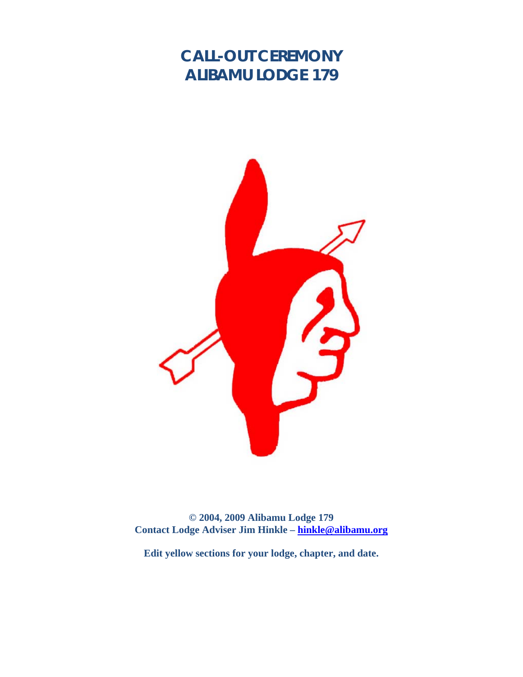# **CALL-OUT CEREMONY ALIBAMU LODGE 179**



**© 2004, 2009 Alibamu Lodge 179 Contact Lodge Adviser Jim Hinkle – hinkle@alibamu.org** 

**Edit yellow sections for your lodge, chapter, and date.**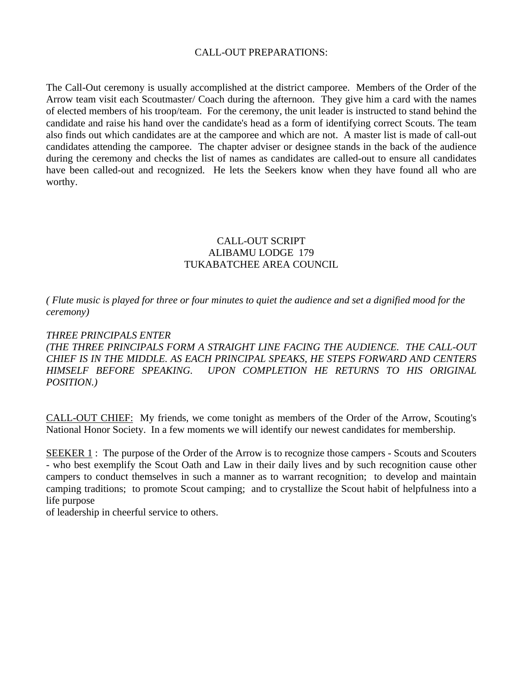### CALL-OUT PREPARATIONS:

The Call-Out ceremony is usually accomplished at the district camporee. Members of the Order of the Arrow team visit each Scoutmaster/ Coach during the afternoon. They give him a card with the names of elected members of his troop/team. For the ceremony, the unit leader is instructed to stand behind the candidate and raise his hand over the candidate's head as a form of identifying correct Scouts. The team also finds out which candidates are at the camporee and which are not. A master list is made of call-out candidates attending the camporee. The chapter adviser or designee stands in the back of the audience during the ceremony and checks the list of names as candidates are called-out to ensure all candidates have been called-out and recognized. He lets the Seekers know when they have found all who are worthy.

## CALL-OUT SCRIPT ALIBAMU LODGE 179 TUKABATCHEE AREA COUNCIL

*( Flute music is played for three or four minutes to quiet the audience and set a dignified mood for the ceremony)* 

#### *THREE PRINCIPALS ENTER*

*(THE THREE PRINCIPALS FORM A STRAIGHT LINE FACING THE AUDIENCE. THE CALL-OUT CHIEF IS IN THE MIDDLE. AS EACH PRINCIPAL SPEAKS, HE STEPS FORWARD AND CENTERS HIMSELF BEFORE SPEAKING. UPON COMPLETION HE RETURNS TO HIS ORIGINAL POSITION.)* 

CALL-OUT CHIEF: My friends, we come tonight as members of the Order of the Arrow, Scouting's National Honor Society. In a few moments we will identify our newest candidates for membership.

SEEKER 1: The purpose of the Order of the Arrow is to recognize those campers - Scouts and Scouters - who best exemplify the Scout Oath and Law in their daily lives and by such recognition cause other campers to conduct themselves in such a manner as to warrant recognition; to develop and maintain camping traditions; to promote Scout camping; and to crystallize the Scout habit of helpfulness into a life purpose

of leadership in cheerful service to others.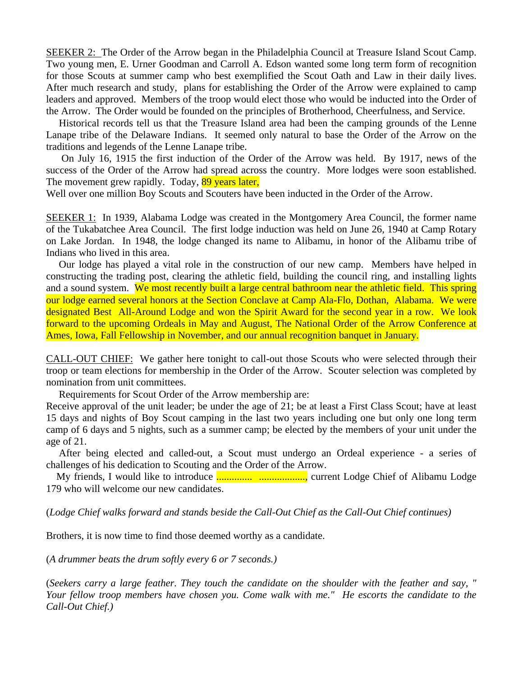SEEKER 2: The Order of the Arrow began in the Philadelphia Council at Treasure Island Scout Camp. Two young men, E. Urner Goodman and Carroll A. Edson wanted some long term form of recognition for those Scouts at summer camp who best exemplified the Scout Oath and Law in their daily lives. After much research and study, plans for establishing the Order of the Arrow were explained to camp leaders and approved. Members of the troop would elect those who would be inducted into the Order of the Arrow. The Order would be founded on the principles of Brotherhood, Cheerfulness, and Service.

 Historical records tell us that the Treasure Island area had been the camping grounds of the Lenne Lanape tribe of the Delaware Indians. It seemed only natural to base the Order of the Arrow on the traditions and legends of the Lenne Lanape tribe.

 On July 16, 1915 the first induction of the Order of the Arrow was held. By 1917, news of the success of the Order of the Arrow had spread across the country. More lodges were soon established. The movement grew rapidly. Today, 89 years later,

Well over one million Boy Scouts and Scouters have been inducted in the Order of the Arrow.

SEEKER 1: In 1939, Alabama Lodge was created in the Montgomery Area Council, the former name of the Tukabatchee Area Council. The first lodge induction was held on June 26, 1940 at Camp Rotary on Lake Jordan. In 1948, the lodge changed its name to Alibamu, in honor of the Alibamu tribe of Indians who lived in this area.

 Our lodge has played a vital role in the construction of our new camp. Members have helped in constructing the trading post, clearing the athletic field, building the council ring, and installing lights and a sound system. We most recently built a large central bathroom near the athletic field. This spring our lodge earned several honors at the Section Conclave at Camp Ala-Flo, Dothan, Alabama. We were designated Best All-Around Lodge and won the Spirit Award for the second year in a row. We look forward to the upcoming Ordeals in May and August, The National Order of the Arrow Conference at Ames, Iowa, Fall Fellowship in November, and our annual recognition banquet in January.

CALL-OUT CHIEF: We gather here tonight to call-out those Scouts who were selected through their troop or team elections for membership in the Order of the Arrow. Scouter selection was completed by nomination from unit committees.

Requirements for Scout Order of the Arrow membership are:

Receive approval of the unit leader; be under the age of 21; be at least a First Class Scout; have at least 15 days and nights of Boy Scout camping in the last two years including one but only one long term camp of 6 days and 5 nights, such as a summer camp; be elected by the members of your unit under the age of 21.

 After being elected and called-out, a Scout must undergo an Ordeal experience - a series of challenges of his dedication to Scouting and the Order of the Arrow.

 My friends, I would like to introduce .............. .................., current Lodge Chief of Alibamu Lodge 179 who will welcome our new candidates.

(*Lodge Chief walks forward and stands beside the Call-Out Chief as the Call-Out Chief continues)*

Brothers, it is now time to find those deemed worthy as a candidate.

(*A drummer beats the drum softly every 6 or 7 seconds.)* 

(*Seekers carry a large feather. They touch the candidate on the shoulder with the feather and say, " Your fellow troop members have chosen you. Come walk with me." He escorts the candidate to the Call-Out Chief.)*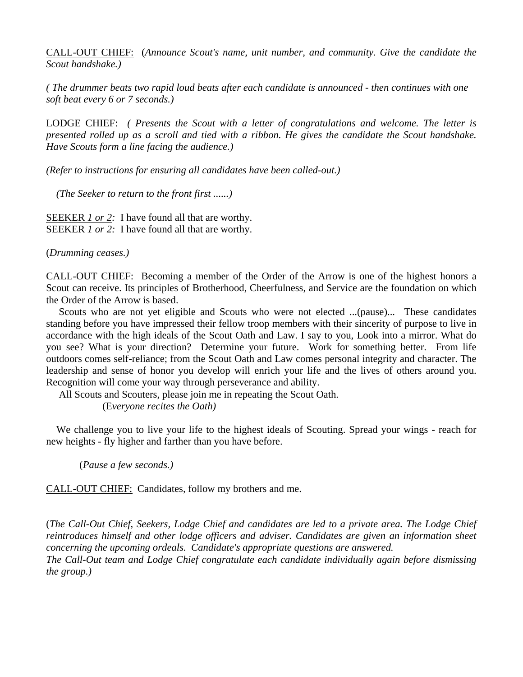CALL-OUT CHIEF: (*Announce Scout's name, unit number, and community. Give the candidate the Scout handshake.)* 

*( The drummer beats two rapid loud beats after each candidate is announced - then continues with one soft beat every 6 or 7 seconds.)* 

LODGE CHIEF: *( Presents the Scout with a letter of congratulations and welcome. The letter is presented rolled up as a scroll and tied with a ribbon. He gives the candidate the Scout handshake. Have Scouts form a line facing the audience.)* 

*(Refer to instructions for ensuring all candidates have been called-out.)* 

 *(The Seeker to return to the front first ......)* 

SEEKER *1 or 2:* I have found all that are worthy. SEEKER *1 or 2:* I have found all that are worthy.

(*Drumming ceases.)* 

CALL-OUT CHIEF: Becoming a member of the Order of the Arrow is one of the highest honors a Scout can receive. Its principles of Brotherhood, Cheerfulness, and Service are the foundation on which the Order of the Arrow is based.

 Scouts who are not yet eligible and Scouts who were not elected ...(pause)... These candidates standing before you have impressed their fellow troop members with their sincerity of purpose to live in accordance with the high ideals of the Scout Oath and Law. I say to you, Look into a mirror. What do you see? What is your direction? Determine your future. Work for something better. From life outdoors comes self-reliance; from the Scout Oath and Law comes personal integrity and character. The leadership and sense of honor you develop will enrich your life and the lives of others around you. Recognition will come your way through perseverance and ability.

All Scouts and Scouters, please join me in repeating the Scout Oath.

(E*veryone recites the Oath)*

 We challenge you to live your life to the highest ideals of Scouting. Spread your wings - reach for new heights - fly higher and farther than you have before.

(*Pause a few seconds.)* 

CALL-OUT CHIEF: Candidates, follow my brothers and me.

(*The Call-Out Chief, Seekers, Lodge Chief and candidates are led to a private area. The Lodge Chief reintroduces himself and other lodge officers and adviser. Candidates are given an information sheet concerning the upcoming ordeals. Candidate's appropriate questions are answered. The Call-Out team and Lodge Chief congratulate each candidate individually again before dismissing the group.)*